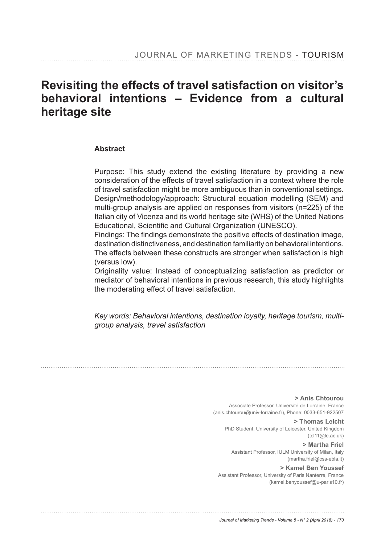# **Revisiting the effects of travel satisfaction on visitor's behavioral intentions – Evidence from a cultural heritage site**

#### **Abstract**

Purpose: This study extend the existing literature by providing a new consideration of the effects of travel satisfaction in a context where the role of travel satisfaction might be more ambiguous than in conventional settings. Design/methodology/approach: Structural equation modelling (SEM) and multi-group analysis are applied on responses from visitors (n=225) of the Italian city of Vicenza and its world heritage site (WHS) of the United Nations Educational, Scientific and Cultural Organization (UNESCO).

Findings: The findings demonstrate the positive effects of destination image, destination distinctiveness, and destination familiarity on behavioral intentions. The effects between these constructs are stronger when satisfaction is high (versus low).

Originality value: Instead of conceptualizing satisfaction as predictor or mediator of behavioral intentions in previous research, this study highlights the moderating effect of travel satisfaction.

*Key words: Behavioral intentions, destination loyalty, heritage tourism, multigroup analysis, travel satisfaction*

> **> Anis Chtourou**  Associate Professor, Université de Lorraine, France (anis.chtourou@univ-lorraine.fr), Phone: 0033-651-922507

**> Thomas Leicht**  PhD Student, University of Leicester, United Kingdom (tcl11@le.ac.uk)

**> Martha Friel** Assistant Professor, IULM University of Milan, Italy (martha.friel@css-ebla.it)

**> Kamel Ben Youssef**  Assistant Professor, University of Paris Nanterre, France (kamel.benyoussef@u-paris10.fr)

*Journal of Marketing Trends - Volume 5 - N° 2 (April 2018) - 173*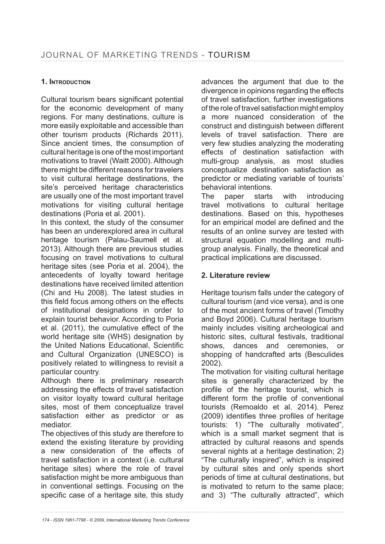#### **1. INTRODUCTION**

Cultural tourism bears significant potential for the economic development of many regions. For many destinations, culture is more easily exploitable and accessible than other tourism products (Richards 2011). Since ancient times, the consumption of cultural heritage is one of the most important motivations to travel (Waitt 2000). Although there might be different reasons for travelers to visit cultural heritage destinations, the site's perceived heritage characteristics are usually one of the most important travel motivations for visiting cultural heritage destinations (Poria et al. 2001).

In this context, the study of the consumer has been an underexplored area in cultural heritage tourism (Palau-Saumell et al. 2013). Although there are previous studies focusing on travel motivations to cultural heritage sites (see Poria et al. 2004), the antecedents of loyalty toward heritage destinations have received limited attention (Chi and Hu 2008). The latest studies in this field focus among others on the effects of institutional designations in order to explain tourist behavior. According to Poria et al. (2011), the cumulative effect of the world heritage site (WHS) designation by the United Nations Educational, Scientific and Cultural Organization (UNESCO) is positively related to willingness to revisit a particular country.

Although there is preliminary research addressing the effects of travel satisfaction on visitor loyalty toward cultural heritage sites, most of them conceptualize travel satisfaction either as predictor or as mediator.

The objectives of this study are therefore to extend the existing literature by providing a new consideration of the effects of travel satisfaction in a context (i.e. cultural heritage sites) where the role of travel satisfaction might be more ambiguous than in conventional settings. Focusing on the specific case of a heritage site, this study advances the argument that due to the divergence in opinions regarding the effects of travel satisfaction, further investigations of the role of travel satisfaction might employ a more nuanced consideration of the construct and distinguish between different levels of travel satisfaction. There are very few studies analyzing the moderating effects of destination satisfaction with multi-group analysis, as most studies conceptualize destination satisfaction as predictor or mediating variable of tourists' behavioral intentions.

The paper starts with introducing travel motivations to cultural heritage destinations. Based on this, hypotheses for an empirical model are defined and the results of an online survey are tested with structural equation modelling and multigroup analysis. Finally, the theoretical and practical implications are discussed.

## 2. Literature review

Heritage tourism falls under the category of cultural tourism (and vice versa), and is one of the most ancient forms of travel (Timothy and Boyd 2006). Cultural heritage tourism mainly includes visiting archeological and historic sites, cultural festivals, traditional shows, dances and ceremonies, or shopping of handcrafted arts (Besculides 2002).

The motivation for visiting cultural heritage sites is generally characterized by the profile of the heritage tourist, which is different form the profile of conventional tourists (Remoaldo et al. 2014). Perez (2009) identifies three profiles of heritage tourists: 1) "The culturally motivated", which is a small market segment that is attracted by cultural reasons and spends several nights at a heritage destination; 2) "The culturally inspired", which is inspired by cultural sites and only spends short periods of time at cultural destinations, but is motivated to return to the same place; and 3) "The culturally attracted", which

*174 - ISSN 1961-7798 - © 2009, International Marketing Trends Conference*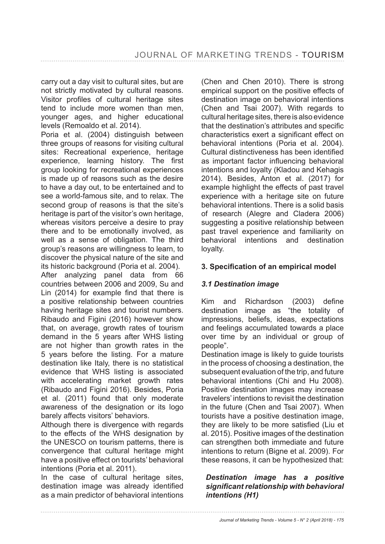carry out a day visit to cultural sites, but are not strictly motivated by cultural reasons. Visitor profiles of cultural heritage sites tend to include more women than men, younger ages, and higher educational levels (Remoaldo et al. 2014).

Poria et al. (2004) distinguish between three groups of reasons for visiting cultural sites: Recreational experience, heritage experience, learning history. The first group looking for recreational experiences is made up of reasons such as the desire to have a day out, to be entertained and to see a world-famous site, and to relax. The second group of reasons is that the site's heritage is part of the visitor's own heritage, whereas visitors perceive a desire to pray there and to be emotionally involved, as well as a sense of obligation. The third group's reasons are willingness to learn, to discover the physical nature of the site and its historic background (Poria et al. 2004).

After analyzing panel data from 66 countries between 2006 and 2009, Su and Lin  $(2014)$  for example find that there is a positive relationship between countries having heritage sites and tourist numbers. Ribaudo and Figini (2016) however show that, on average, growth rates of tourism demand in the 5 years after WHS listing are not higher than growth rates in the 5 years before the listing. For a mature destination like Italy, there is no statistical evidence that WHS listing is associated with accelerating market growth rates (Ribaudo and Figini 2016). Besides, Poria et al. (2011) found that only moderate awareness of the designation or its logo barely affects visitors' behaviors.

Although there is divergence with regards to the effects of the WHS designation by the UNESCO on tourism patterns, there is convergence that cultural heritage might have a positive effect on tourists' behavioral intentions (Poria et al. 2011).

In the case of cultural heritage sites, destination image was already identified as a main predictor of behavioral intentions (Chen and Chen 2010). There is strong empirical support on the positive effects of destination image on behavioral intentions (Chen and Tsai 2007). With regards to cultural heritage sites, there is also evidence that the destination's attributes and specific characteristics exert a significant effect on behavioral intentions (Poria et al. 2004). Cultural distinctiveness has been identified as important factor influencing behavioral intentions and loyalty (Kladou and Kehagis 2014). Besides, Anton et al. (2017) for example highlight the effects of past travel experience with a heritage site on future behavioral intentions. There is a solid basis of research (Alegre and Cladera 2006) suggesting a positive relationship between past travel experience and familiarity on behavioral intentions and destination loyalty.

#### 3. Specification of an empirical model

# *3.1 Destination image*

Kim and Richardson (2003) define destination image as "the totality of impressions, beliefs, ideas, expectations and feelings accumulated towards a place over time by an individual or group of people".

Destination image is likely to guide tourists in the process of choosing a destination, the subsequent evaluation of the trip, and future behavioral intentions (Chi and Hu 2008). Positive destination images may increase travelers' intentions to revisit the destination in the future (Chen and Tsai 2007). When tourists have a positive destination image, they are likely to be more satisfied (Liu et al. 2015). Positive images of the destination can strengthen both immediate and future intentions to return (Bigne et al. 2009). For these reasons, it can be hypothesized that:

#### *Destination image has a positive*  significant relationship with behavioral *intentions (H1)*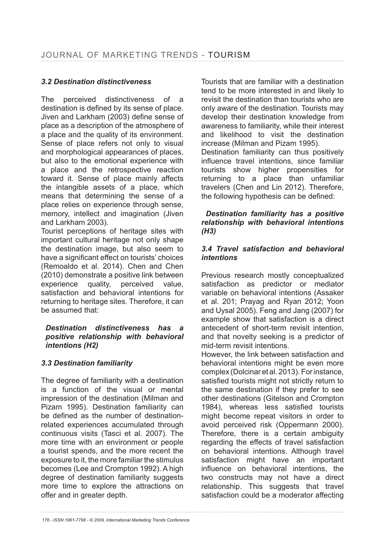# *3.2 Destination distinctiveness*

The perceived distinctiveness of a destination is defined by its sense of place. Jiven and Larkham (2003) define sense of place as a description of the atmosphere of a place and the quality of its environment. Sense of place refers not only to visual and morphological appearances of places, but also to the emotional experience with a place and the retrospective reaction toward it. Sense of place mainly affects the intangible assets of a place, which means that determining the sense of a place relies on experience through sense, memory, intellect and imagination (Jiven and Larkham 2003).

Tourist perceptions of heritage sites with important cultural heritage not only shape the destination image, but also seem to have a significant effect on tourists' choices (Remoaldo et al. 2014). Chen and Chen (2010) demonstrate a positive link between experience quality, perceived value, satisfaction and behavioral intentions for returning to heritage sites. Therefore, it can be assumed that:

#### *Destination distinctiveness has a positive relationship with behavioral intentions (H2)*

# *3.3 Destination familiarity*

The degree of familiarity with a destination is a function of the visual or mental impression of the destination (Milman and Pizam 1995). Destination familiarity can be defined as the number of destinationrelated experiences accumulated through continuous visits (Tasci et al. 2007). The more time with an environment or people a tourist spends, and the more recent the exposure to it, the more familiar the stimulus becomes (Lee and Crompton 1992). A high degree of destination familiarity suggests more time to explore the attractions on offer and in greater depth.

Tourists that are familiar with a destination tend to be more interested in and likely to revisit the destination than tourists who are only aware of the destination. Tourists may develop their destination knowledge from awareness to familiarity, while their interest and likelihood to visit the destination increase (Milman and Pizam 1995).

Destination familiarity can thus positively influence travel intentions, since familiar tourists show higher propensities for returning to a place than unfamiliar travelers (Chen and Lin 2012). Therefore, the following hypothesis can be defined:

#### *Destination familiarity has a positive relationship with behavioral intentions (H3)*

#### *3.4 Travel satisfaction and behavioral intentions*

Previous research mostly conceptualized satisfaction as predictor or mediator variable on behavioral intentions (Assaker et al. 201; Prayag and Ryan 2012; Yoon and Uysal 2005). Feng and Jang (2007) for example show that satisfaction is a direct antecedent of short-term revisit intention, and that novelty seeking is a predictor of mid-term revisit intentions.

However, the link between satisfaction and behavioral intentions might be even more complex (Dolcinar et al. 2013). For instance, satisfied tourists might not strictly return to the same destination if they prefer to see other destinations (Gitelson and Crompton 1984), whereas less satisfied tourists might become repeat visitors in order to avoid perceived risk (Oppermann 2000). Therefore, there is a certain ambiguity regarding the effects of travel satisfaction on behavioral intentions. Although travel satisfaction might have an important influence on behavioral intentions, the two constructs may not have a direct relationship. This suggests that travel satisfaction could be a moderator affecting

*176 - ISSN 1961-7798 - © 2009, International Marketing Trends Conference*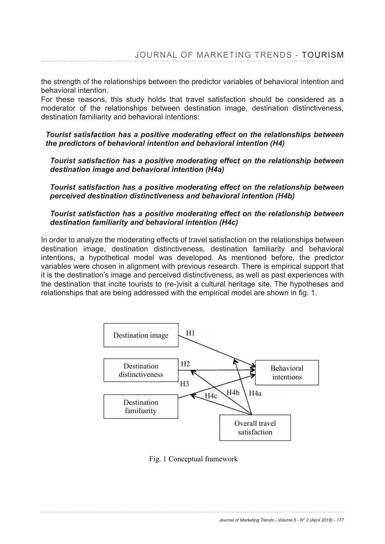the strength of the relationships between the predictor variables of behavioral intention and behavioral intention.

For these reasons, this study holds that travel satisfaction should be considered as a moderator of the relationships between destination image, destination distinctiveness, destination familiarity and behavioral intentions:

*Tourist satisfaction has a positive moderating effect on the relationships between the predictors of behavioral intention and behavioral intention (H4)*

*Tourist satisfaction has a positive moderating effect on the relationship between destination image and behavioral intention (H4a)*

*Tourist satisfaction has a positive moderating effect on the relationship between perceived destination distinctiveness and behavioral intention (H4b)*

#### *Tourist satisfaction has a positive moderating effect on the relationship between destination familiarity and behavioral intention (H4c)*

In order to analyze the moderating effects of travel satisfaction on the relationships between destination image, destination distinctiveness, destination familiarity and behavioral intentions, a hypothetical model was developed. As mentioned before, the predictor variables were chosen in alignment with previous research. There is empirical support that it is the destination's image and perceived distinctiveness, as well as past experiences with the destination that incite tourists to (re-)visit a cultural heritage site. The hypotheses and relationships that are being addressed with the empirical model are shown in fig. 1.



Fig. 1 Conceptual framework

*Journal of Marketing Trends - Volume 5 - N° 2 (April 2018) - 177*  $\Box$  Loading  $\Box$ **Satisfaction** My overall experience with Vicenza was higher than my expectations Visiting Vicenza was a wonderful experience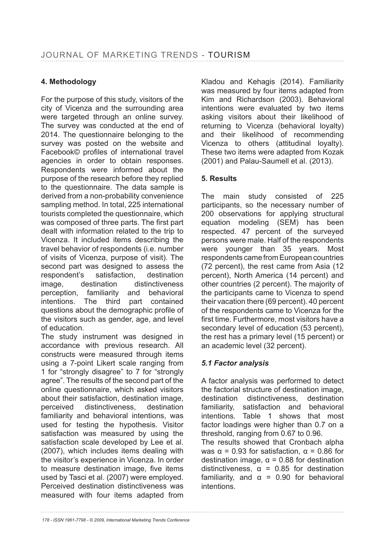# **4. Methodology**

For the purpose of this study, visitors of the city of Vicenza and the surrounding area were targeted through an online survey. The survey was conducted at the end of 2014. The questionnaire belonging to the survey was posted on the website and Facebook© profiles of international travel agencies in order to obtain responses. Respondents were informed about the purpose of the research before they replied to the questionnaire. The data sample is derived from a non-probability convenience sampling method. In total, 225 international tourists completed the questionnaire, which was composed of three parts. The first part dealt with information related to the trip to Vicenza. It included items describing the travel behavior of respondents (i.e. number of visits of Vicenza, purpose of visit). The second part was designed to assess the respondent's satisfaction, destination image, destination distinctiveness perception, familiarity and behavioral intentions. The third part contained questions about the demographic profile of the visitors such as gender, age, and level of education.

The study instrument was designed in accordance with previous research. All constructs were measured through items using a 7-point Likert scale ranging from 1 for "strongly disagree" to 7 for "strongly agree". The results of the second part of the online questionnaire, which asked visitors about their satisfaction, destination image, perceived distinctiveness, destination familiarity and behavioral intentions, was used for testing the hypothesis. Visitor satisfaction was measured by using the satisfaction scale developed by Lee et al. (2007), which includes items dealing with the visitor's experience in Vicenza. In order to measure destination image, five items used by Tasci et al. (2007) were employed. Perceived destination distinctiveness was measured with four items adapted from

Kladou and Kehagis (2014). Familiarity was measured by four items adapted from Kim and Richardson (2003). Behavioral intentions were evaluated by two items asking visitors about their likelihood of returning to Vicenza (behavioral loyalty) and their likelihood of recommending Vicenza to others (attitudinal loyalty). These two items were adapted from Kozak (2001) and Palau-Saumell et al. (2013).

# **5. Results**

The main study consisted of 225 participants, so the necessary number of 200 observations for applying structural equation modeling (SEM) has been respected. 47 percent of the surveyed persons were male. Half of the respondents were younger than 35 years. Most respondents came from European countries (72 percent), the rest came from Asia (12 percent), North America (14 percent) and other countries (2 percent). The majority of the participants came to Vicenza to spend their vacation there (69 percent). 40 percent of the respondents came to Vicenza for the first time. Furthermore, most visitors have a secondary level of education (53 percent), the rest has a primary level (15 percent) or an academic level (32 percent).

# *5.1 Factor analysis*

A factor analysis was performed to detect the factorial structure of destination image, destination distinctiveness, destination familiarity, satisfaction and behavioral intentions. Table 1 shows that most factor loadings were higher than 0.7 on a threshold, ranging from  $0.67$  to  $0.96$ . The results showed that Cronbach alpha was  $\alpha$  = 0.93 for satisfaction,  $\alpha$  = 0.86 for destination image,  $\alpha$  = 0.88 for destination distinctiveness,  $\alpha = 0.85$  for destination

familiarity, and  $\alpha = 0.90$  for behavioral intentions.

*178 - ISSN 1961-7798 - © 2009, International Marketing Trends Conference*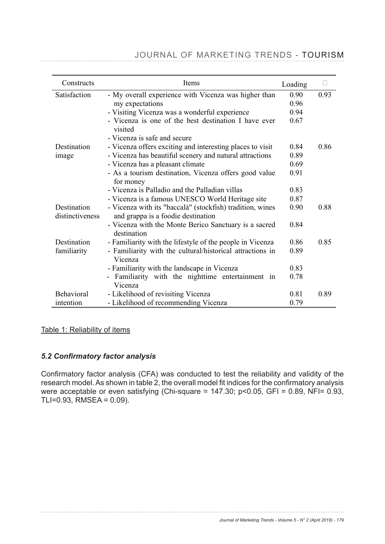| Constructs                     | Items                                                                                           | Loading |      |
|--------------------------------|-------------------------------------------------------------------------------------------------|---------|------|
| Satisfaction                   | - My overall experience with Vicenza was higher than                                            | 0.90    | 0.93 |
|                                | my expectations                                                                                 | 0.96    |      |
|                                | - Visiting Vicenza was a wonderful experience                                                   | 0.94    |      |
|                                | - Vicenza is one of the best destination I have ever<br>visited                                 | 0.67    |      |
|                                | - Vicenza is safe and secure                                                                    |         |      |
| Destination                    | - Vicenza offers exciting and interesting places to visit                                       | 0.84    | 0.86 |
| image                          | - Vicenza has beautiful scenery and natural attractions                                         | 0.89    |      |
|                                | - Vicenza has a pleasant climate                                                                | 0.69    |      |
|                                | - As a tourism destination, Vicenza offers good value<br>for money                              | 0.91    |      |
|                                | - Vicenza is Palladio and the Palladian villas                                                  | 0.83    |      |
|                                | - Vicenza is a famous UNESCO World Heritage site                                                | 0.87    |      |
| Destination<br>distinctiveness | - Vicenza with its "baccalà" (stockfish) tradition, wines<br>and grappa is a foodie destination | 0.90    | 0.88 |
|                                | - Vicenza with the Monte Berico Sanctuary is a sacred<br>destination                            | 0.84    |      |
| Destination                    | - Familiarity with the lifestyle of the people in Vicenza                                       | 0.86    | 0.85 |
| familiarity                    | - Familiarity with the cultural/historical attractions in<br>Vicenza                            | 0.89    |      |
|                                | - Familiarity with the landscape in Vicenza                                                     | 0.83    |      |
|                                | - Familiarity with the nighttime entertainment in<br>Vicenza                                    | 0.78    |      |
| Behavioral                     | - Likelihood of revisiting Vicenza                                                              | 0.81    | 0.89 |
| intention                      | - Likelihood of recommending Vicenza                                                            | 0.79    |      |

# JOURNAL OF MARKETING TRENDS - TOURISM

Table 1: Reliability of items

#### 5.2 Confirmatory factor analysis

Confirmatory factor analysis (CFA) was conducted to test the reliability and validity of the USHIMINGS, ISSUE SHOWN IN THE VEHICLE IS TO UPD TO THE CONFIDENCE TO CONFIDENCE THE CONFIDENCE THE RESERVED TO were acceptable or even satisfying (Chi-square =  $147.30$ ; p<0.05, GFI = 0.89, NFI= 0.93, TLI=0.93, RMSEA = 0.09).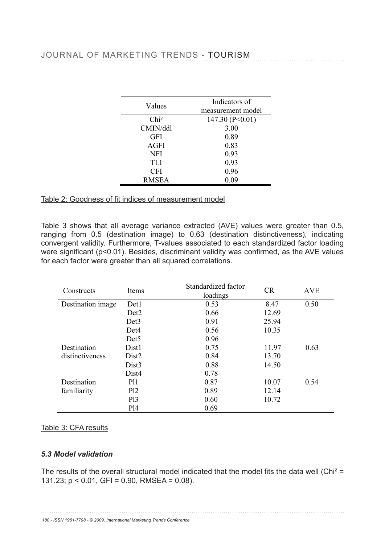| Values              | Indicators of     |
|---------------------|-------------------|
|                     | measurement model |
| Chi <sup>2</sup>    | 147.30 (P<0.01)   |
| CMIN/ddl            | 3.00              |
| <b>GFI</b>          | 0.89              |
| <b>AGFI</b>         | 0.83              |
| <b>NFI</b>          | <b>Categrs</b> of |
| TH                  | measurement model |
| CFf                 | 0.96(0.01)        |
| <b>CRMATSIECALL</b> | 0.09              |
|                     |                   |

# <u>Table 2: Goodness of fit indices  $\delta$ Hileasurement model</u>

Table 3 shows that all average variance extracted (AVE) values were greater than 0.5, ranging from 0.5 (destination image) to Standard destination distinctiveness), indicating<br>convergent validity Eurthermore, T values associated to each standardized factor loading ranging nom o.5 (destination image) to standardized in distinctiveness), indicating<br>convergent validity. Furthermore, T-values associated to each standardized factor loading were sugsification (prago1). Bestides, discriminant validity was confirmed, as the AVE values for each factor were greateethan all squared correlations.  $D_{12}$ **CEI** RMSEA

|                             | DEIJ                                                                     |                                                                                                               |       |            |
|-----------------------------|--------------------------------------------------------------------------|---------------------------------------------------------------------------------------------------------------|-------|------------|
| Constructs<br>Destination   | Det4<br>Det5<br>Tiems<br>l Jıst                                          | Standardized factor<br>loadings                                                                               | CR    | <b>AVE</b> |
| <b>Dissimativenessage</b>   | Dist2                                                                    | 0.53                                                                                                          | 8.47  | 0.50       |
|                             | Dist <sub>2</sub>                                                        | 0.66                                                                                                          | 12.69 |            |
|                             | Dist3                                                                    | 0.91                                                                                                          | 25.94 |            |
| Destination                 | <b>ДА14</b>                                                              | 0.56                                                                                                          | 10.35 |            |
| familiarity                 | <b>IPH<sub>E5</sub></b>                                                  | 0.96                                                                                                          |       |            |
| Destination                 | <b>DAR31</b>                                                             | 0.75                                                                                                          | 11.97 | 0.63       |
| distinctiveness             | Dib <sub>42</sub>                                                        | 0.84                                                                                                          | 13.70 |            |
|                             | Dist3                                                                    | 0.88                                                                                                          | 14.50 |            |
|                             | Dist4                                                                    | 0.78                                                                                                          |       |            |
| Destination                 | <b>P11</b>                                                               | 0.87                                                                                                          | 10.07 | 0.54       |
| familiarity                 | Pl2                                                                      | 0.89                                                                                                          | 12.14 |            |
|                             | P13                                                                      | 0.60                                                                                                          | 10.72 |            |
|                             | P <sub>14</sub>                                                          | 0.69 <sub>ators of</sub>                                                                                      |       |            |
|                             |                                                                          | measurement model                                                                                             |       |            |
| Table 3: CFA results        | $\overline{2}$                                                           | P < 0.01                                                                                                      |       |            |
|                             | <b>GFI</b>                                                               |                                                                                                               |       |            |
|                             | <b>AGFI</b>                                                              |                                                                                                               |       |            |
| <b>5.3 Model validation</b> | <b>NFI</b>                                                               |                                                                                                               |       |            |
|                             | TLI                                                                      | cators of                                                                                                     |       |            |
|                             |                                                                          | The results of the overall struditural model indlest surface the ortal fits the data well (Chi <sup>2</sup> = |       |            |
|                             | 131.23; $p < 0.01$ , GFI = 0.90 $R$ MNSEA = 0.08).                       | P < 0.01                                                                                                      |       |            |
|                             | <b>GFI</b>                                                               |                                                                                                               |       |            |
|                             | <b>AGFI</b>                                                              |                                                                                                               |       |            |
|                             | <b>NFI</b>                                                               |                                                                                                               |       |            |
|                             | TĽI                                                                      |                                                                                                               |       |            |
|                             | 180 - ISSN 1961-7798 - © 2009, International Marketing Trends Conference |                                                                                                               |       |            |
|                             | <b>RMSEA</b>                                                             |                                                                                                               |       |            |
|                             |                                                                          |                                                                                                               |       |            |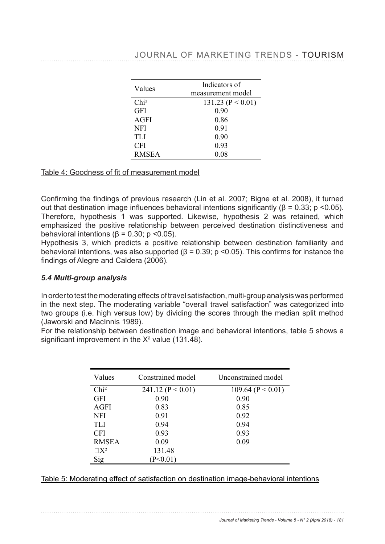Destination familiarity

> Pl3 Pl4

Pl2

|  | JOURNAL OF MARKETING TRENDS - TOURISM |  |
|--|---------------------------------------|--|

| Values           | Indicators of         |
|------------------|-----------------------|
|                  | measurement model     |
| Chi <sup>2</sup> | 131.23 ( $P < 0.01$ ) |
| <b>GFI</b>       | 0.90                  |
| <b>AGFI</b>      | 0.86                  |
| <b>NFI</b>       | 0.91                  |
| TLI              | 0.90                  |
| <b>CFI</b>       | 0.93                  |
| <b>RMSEA</b>     | 0.08                  |

#### Table 4: Goodness of fit of measurement model

Confirming the findings of previous research (Lin et al. 2007; Bigne et al. 2008), it turned out that destination image influences behavioral intentions significantly ( $\beta$  = 0.33; p <0.05). Therefore, hypothesis 1 was supported. Likewise, hypothesis 2 was retained, which emphasized the positive relationship between perceived destination distinctiveness and behavioral intentions ( $\beta$  = 0.30; p < 0.05).

Hypothesis 3, which predicts a positive relationship between destination familiarity and behavioral intentions, was also supported ( $\beta$  = 0.39; p < 0.05). This confirms for instance the findings of Alegre and Caldera (2006).

#### *5.4 Multi-group analysis*

In order to test the moderating effects of travel satisfaction, multi-group analysis was performed in the next step. The moderating variable "overall travel satisfaction" was categorized into two groups (i.e. high versus low) by dividing the scores through the median split method (Jaworski and MacInnis 1989).

For the relationship between destination image and behavioral intentions, table 5 shows a significant improvement in the  $X^2$  value (131.48).

| Values           | Constrained model     | Unconstrained model   |
|------------------|-----------------------|-----------------------|
| Chi <sup>2</sup> | 241.12 ( $P < 0.01$ ) | 109.64 ( $P < 0.01$ ) |
| <b>GFI</b>       | 0.90                  | 0.90                  |
| <b>AGFI</b>      | 0.83                  | 0.85                  |
| <b>NFI</b>       | 0.91                  | 0.92                  |
| TLI              | 0.94                  | 0.94                  |
| <b>CFI</b>       | 0.93                  | 0.93                  |
| <b>RMSEA</b>     | 0.09                  | 0.09                  |
| $\Box X^2$       | 131.48                |                       |
| Sig              | P<0.01                |                       |

| Table 5: Moderating effect of satisfaction on destination image-behavioral intentions |  |
|---------------------------------------------------------------------------------------|--|

trained model **Umconstrained model** Unconstrained Marketing 3 - N° 2 (April 2018) - 181

 $(9.01)$  102.15 (P  $(9.01)$ )

 $\overline{2}$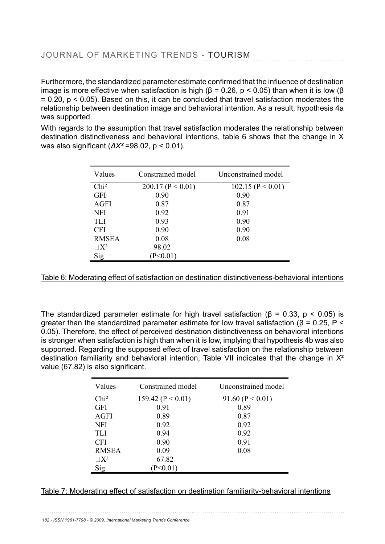#### JOURNAL OPEMARKETING TRENDS - TOURISM trained model Unconstrained model  $\overline{\phantom{a}}$  $-A$ GFI $\cdots$ NFI  $P < 0.01$ ) 109.64 ( $P < 0.01$ )

Furthermore, the standardized parameter estimate confirmed that the influence of destination image is more effective when satisfaction is high (β = 0.26, p < 0.05) than when it is low (β  $= 0.20$ , p  $\leq 0.05$ ). Based on this, it can be concluded that travel satisfaction moderates the elationship between destination image and behavioral intention. As a result, hypothesis 4a relationship between destination image and behavioral intention. As a result, hypothesis 4a was supported. Ci<del>P</del>̃I **GEI**  $RMSEA$  on this  $if$   $PABRA$  model  $f$  under the optimal model. kieen destination image and0behavioral intention(µAs a.œ)<br>ଧୂ<sub>ୱ</sub>,

With regards to the B ssumption that travel satisfaction moderates the relationship between destination distinctiveness and behavioral intentions, table 6 shows that the change in X was also signific $\frac{1}{2}$ n $\frac{1}{2}$  ( $\Delta X^2$  =98.02, p < 0.01).

| <b>CFI</b>       |                       |                       |
|------------------|-----------------------|-----------------------|
| <b>RMSEA</b>     |                       |                       |
| Values<br>Sig    | Constrained model     | Unconstrained model   |
| Chi <sup>2</sup> | 200.17 ( $P < 0.01$ ) | 102.15 ( $P < 0.01$ ) |
| <b>GFI</b>       | 0.90                  | 0.90                  |
| AGFI             | 0.87                  | 0.87                  |
| NFI              | 0.92                  | 0.91                  |
| <b>TLI</b>       | 0.93                  | 0.90                  |
| <b>CFI</b>       | 0.90                  | 0.90                  |
| <b>RMSEA</b>     | toat hed model        | Unconstrained model   |
| $\Box X_2^2$     | 98.02                 |                       |
| ig,              | $< 0.01$ )<br>(P<0)   | 102.15 ( $P < 0.01$ ) |

AGFI

Table 6: Moderating effect of satisfaction on destination distinctiveness-behavioral intentions Table 6: Moderating effect of satisfaction on destination distinctiveness behavioral intentions NFI

TLI CFI

RMSEA

The standardized  $X\hat{\beta}$  arameter estimate for high travel satisfaction ( $\beta$  = 0.33,  $p$  < 0.05) is greater than the standardized para network in strain for  $V$ lo chair and model in (β = 0.25, P < 0.05). Therefore, the effect of percei $\mu$ ed destination distinctiveness  $\alpha$ n behavioral intentions is stronger when<sub>G</sub>atisfaction is high than when it is low, implying that hypothesis 4b was also supported. Rega**rding** the supposed effect of travel satisfaction on the relationship between destination fami $\frac{1}{2}$  and behavioral intention, Table VII indicates that the change in  $X^2$ value (67.82) is alsp significant.

| <b>RANGEA</b><br>$\neg$ T $\neg$ | Constrained model  | Unconstrained model  |
|----------------------------------|--------------------|----------------------|
|                                  | $\leq 0.01$<br>159 | 91.60 ( $P < 0.01$ ) |
| )]e<br>T                         |                    | 0.89                 |
| <b>AGFI</b>                      | 0.89               | 0.87                 |
| <b>NFI</b>                       | 0.92               | 0.92                 |
| <b>TLI</b>                       | 0.94               | 0.92                 |
| <b>CFI</b>                       | 0.90               | 0.91                 |
| <b>RMSEA</b>                     | 0.09               | 0.08                 |
| $\Box X^2$                       | 67.82              |                      |
| Sig                              | $P<0.01$ )         |                      |

# <u>Table 7: Moderating effect of satisfaction on destination familiarity-behavioral intentions</u>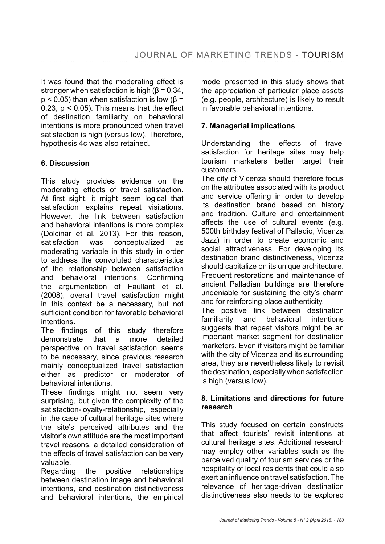It was found that the moderating effect is stronger when satisfaction is high  $(\beta = 0.34)$ .  $p$  < 0.05) than when satisfaction is low ( $\beta$  = 0.23,  $p < 0.05$ ). This means that the effect of destination familiarity on behavioral intentions is more pronounced when travel satisfaction is high (versus low). Therefore, hypothesis 4c was also retained.

# **6. Discussion**

This study provides evidence on the moderating effects of travel satisfaction. At first sight, it might seem logical that satisfaction explains repeat visitations. However, the link between satisfaction and behavioral intentions is more complex (Dolcinar et al. 2013). For this reason, satisfaction was conceptualized as moderating variable in this study in order to address the convoluted characteristics of the relationship between satisfaction and behavioral intentions. Confirming the argumentation of Faullant et al. (2008), overall travel satisfaction might in this context be a necessary, but not sufficient condition for favorable behavioral **intentions** 

The findings of this study therefore demonstrate that a more detailed perspective on travel satisfaction seems to be necessary, since previous research mainly conceptualized travel satisfaction either as predictor or moderator of behavioral intentions.

These findings might not seem very surprising, but given the complexity of the satisfaction-loyalty-relationship, especially in the case of cultural heritage sites where the site's perceived attributes and the visitor's own attitude are the most important travel reasons, a detailed consideration of the effects of travel satisfaction can be very valuable.

Regarding the positive relationships between destination image and behavioral intentions, and destination distinctiveness and behavioral intentions, the empirical model presented in this study shows that the appreciation of particular place assets (e.g. people, architecture) is likely to result in favorable behavioral intentions.

## **7. Managerial implications**

Understanding the effects of travel satisfaction for heritage sites may help tourism marketers better target their customers.

The city of Vicenza should therefore focus on the attributes associated with its product and service offering in order to develop its destination brand based on history and tradition. Culture and entertainment affects the use of cultural events (e.g. 500th birthday festival of Palladio, Vicenza Jazz) in order to create economic and social attractiveness. For developing its destination brand distinctiveness, Vicenza should capitalize on its unique architecture. Frequent restorations and maintenance of ancient Palladian buildings are therefore undeniable for sustaining the city's charm and for reinforcing place authenticity.

The positive link between destination familiarity and behavioral intentions suggests that repeat visitors might be an important market segment for destination marketers. Even if visitors might be familiar with the city of Vicenza and its surrounding area, they are nevertheless likely to revisit the destination, especially when satisfaction is high (versus low).

#### **8. Limitations and directions for future research**

This study focused on certain constructs that affect tourists' revisit intentions at cultural heritage sites. Additional research may employ other variables such as the perceived quality of tourism services or the hospitality of local residents that could also exert an influence on travel satisfaction. The relevance of heritage-driven destination distinctiveness also needs to be explored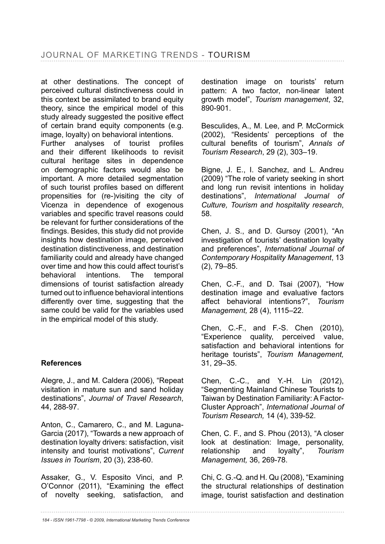at other destinations. The concept of perceived cultural distinctiveness could in this context be assimilated to brand equity theory, since the empirical model of this study already suggested the positive effect of certain brand equity components (e.g. image, loyalty) on behavioral intentions. Further analyses of tourist profiles and their different likelihoods to revisit cultural heritage sites in dependence on demographic factors would also be important. A more detailed segmentation of such tourist profiles based on different propensities for (re-)visiting the city of Vicenza in dependence of exogenous variables and specific travel reasons could be relevant for further considerations of the findings. Besides, this study did not provide insights how destination image, perceived destination distinctiveness, and destination familiarity could and already have changed over time and how this could affect tourist's behavioral intentions. The temporal dimensions of tourist satisfaction already turned out to influence behavioral intentions differently over time, suggesting that the same could be valid for the variables used in the empirical model of this study.

# **References**

Alegre, J., and M. Caldera (2006), "Repeat visitation in mature sun and sand holiday destinations", *Journal of Travel Research*, 44.288-97.

Anton, C., Camarero, C., and M. Laguna- Garcia (2017), "Towards a new approach of destination loyalty drivers: satisfaction, visit intensity and tourist motivations", *Current Issues in Tourism*, 20 (3), 238-60.

Assaker, G., V. Esposito Vinci, and P. O'Connor (2011), "Examining the effect of novelty seeking, satisfaction, and

destination image on tourists' return pattern: A two factor, non-linear latent growth model", *Tourism management*, 32, 890-901.

Besculides, A., M. Lee, and P. McCormick (2002), "Residents' perceptions of the cultural benefits of tourism". Annals of *Tourism Research*, 29 (2), 303–19.

Bigne, J. E., I. Sanchez, and L. Andreu (2009) "The role of variety seeking in short and long run revisit intentions in holiday destinations", *International Journal of Culture, Tourism and hospitality research*, 58.

Chen, J. S., and D. Gursoy (2001), "An investigation of tourists' destination loyalty and preferences", *International Journal of Contemporary Hospitality Management*, 13  $(2)$ , 79-85.

Chen, C.-F., and D. Tsai  $(2007)$ , "How destination image and evaluative factors affect behavioral intentions?", Tourism *Management,* 28 (4), 1115–22.

Chen, C.-F., and F.-S. Chen (2010), "Experience quality, perceived value, satisfaction and behavioral intentions for heritage tourists", *Tourism Management,* 31, 29–35.

Chen, C.-C., and Y.-H. Lin (2012), "Segmenting Mainland Chinese Tourists to Taiwan by Destination Familiarity: A Factor-Cluster Approach", *International Journal of Tourism Research,* 14 (4), 339-52.

Chen, C. F., and S. Phou (2013), "A closer look at destination: Image, personality, relationship and loyalty", *Tourism Management,*

Chi, C. G.-Q. and H. Qu (2008), "Examining the structural relationships of destination image, tourist satisfaction and destination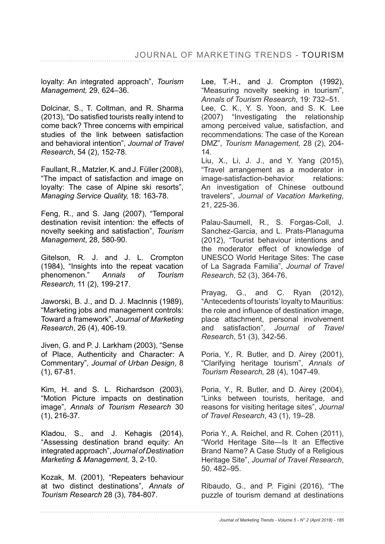loyalty: An integrated approach", *Tourism Management,* 29, 624–36.

Dolcinar, S., T. Coltman, and R. Sharma (2013), "Do satisfied tourists really intend to come back? Three concerns with empirical studies of the link between satisfaction and behavioral intention", *Journal of Travel Research,* 

Faullant, R., Matzler, K. and J. Füller (2008), "The impact of satisfaction and image on loyalty: The case of Alpine ski resorts", *Managing Service Quality,*

Feng, R., and S. Jang (2007), "Temporal destination revisit intention: the effects of novelty seeking and satisfaction", *Tourism Management*, 28, 580-90.

Gitelson, R. J. and J. L. Crompton (1984), "Insights into the repeat vacation phenomenon." *Annals of Tourism Research,* 

Jaworski, B. J., and D. J. Maclnnis (1989), "Marketing jobs and management controls: Toward a framework", *Journal of Marketing Research*, 26 (4), 406-19.

Jiven, G. and P. J. Larkham (2003), "Sense of Place, Authenticity and Character: A Commentary", *Journal of Urban Design*, 8  $(1), 67-81.$ 

Kim, H. and S. L. Richardson (2003), "Motion Picture impacts on destination image", *Annals of Tourism Research* 30  $(1), 216-37.$ 

Kladou, S., and J. Kehagis (2014), "Assessing destination brand equity: An integrated approach", *Journal of Destination Marketing & Management,* 3, 2-10.

Kozak, M. (2001), "Repeaters behaviour at two distinct destinations", *Annals of Tourism Research* 

Lee, T.-H., and J. Crompton (1992), "Measuring novelty seeking in tourism", Annals of Tourism Research, 19: 732-51. Lee, C. K., Y. S. Yoon, and S. K. Lee (2007) "Investigating the relationship among perceived value, satisfaction, and recommendations: The case of the Korean DMZ", *Tourism Management,* 28 (2), 204- 14.

Liu, X., Li, J. J., and Y. Yang (2015), "Travel arrangement as a moderator in image-satisfaction-behavior relations: An investigation of Chinese outbound travelers", *Journal of Vacation Marketing*, 21, 225-36.

Palau-Saumell, R., S. Forgas-Coll, J. Sanchez-Garcia, and L. Prats-Planaguma (2012), "Tourist behaviour intentions and the moderator effect of knowledge of UNESCO World Heritage Sites: The case of La Sagrada Familia", *Journal of Travel Research* 

Prayag, G., and C. Ryan (2012), "Antecedents of tourists' loyalty to Mauritius: the role and influence of destination image. place attachment, personal involvement and satisfaction", *Journal of Travel Research*, 51 (3), 342-56.

Poria, Y., R. Butler, and D. Airey (2001), "Clarifying heritage tourism", *Annals of Tourism Research,* 

Poria, Y., R. Butler, and D. Airey (2004), "Links between tourists, heritage, and reasons for visiting heritage sites", *Journal of Travel Research*, 43 (1), 19–28.

Poria Y., A. Reichel, and R. Cohen (2011), "World Heritage Site—Is It an Effective Brand Name? A Case Study of a Religious Heritage Site", *Journal of Travel Research*, 50, 482–95.

Ribaudo, G., and P. Figini (2016), "The puzzle of tourism demand at destinations